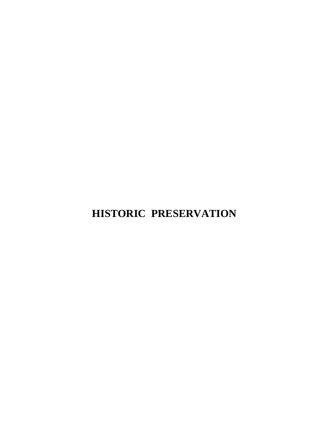# **HISTORIC PRESERVATION**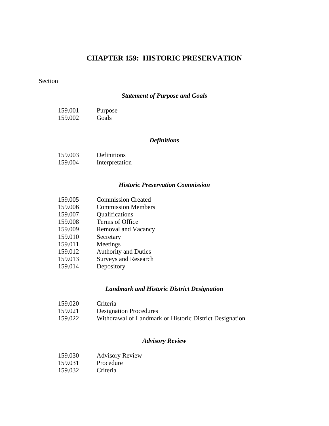# **CHAPTER 159: HISTORIC PRESERVATION**

# Section

## *[Statement of Purpose and Goals](#page-3-0)*

| 159.001 | Purpose |
|---------|---------|
| 159.002 | Goals   |

## *[Definitions](#page-3-0)*

| 159.003 | Definitions    |
|---------|----------------|
| 159.004 | Interpretation |

## *[Historic Preservation Commission](#page-6-0)*

| 159.005 | <b>Commission Created</b>   |
|---------|-----------------------------|
| 159.006 | <b>Commission Members</b>   |
| 159.007 | Qualifications              |
| 159.008 | Terms of Office             |
| 159.009 | Removal and Vacancy         |
| 159.010 | Secretary                   |
| 159.011 | Meetings                    |
| 159.012 | <b>Authority and Duties</b> |
| 159.013 | <b>Surveys and Research</b> |
| .       |                             |

# 159.014 Depository

#### *[Landmark and Historic District Designation](#page-10-0)*

| 159.020 | Criteria                                                |
|---------|---------------------------------------------------------|
| 159.021 | <b>Designation Procedures</b>                           |
| 159.022 | Withdrawal of Landmark or Historic District Designation |

#### *[Advisory Review](#page-17-0)*

| 159.030 | <b>Advisory Review</b> |
|---------|------------------------|
|---------|------------------------|

- 159.031 Procedure<br>159.032 Criteria
- 159.032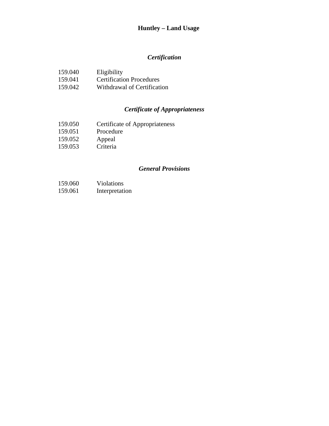# **Huntley – Land Usage**

# *[Certification](#page-21-0)*

| 159.040 | Eligibility                     |
|---------|---------------------------------|
| 159.041 | <b>Certification Procedures</b> |
| 159.042 | Withdrawal of Certification     |

# *[Certificate of Appropriateness](#page-22-0)*

- 159.050 Certificate of Appropriateness<br>159.051 Procedure
- 159.051 Procedure<br>159.052 Appeal
- Appeal<br>Criteria
- $159.053$

#### *[General Provisions](#page-27-0)*

- 159.060 Violations
- 159.061 Interpretation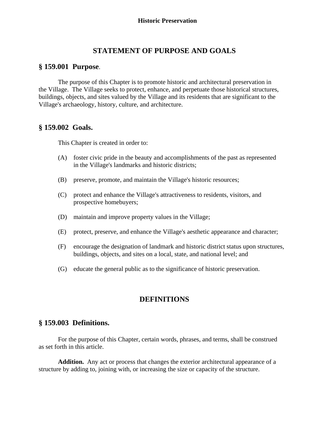# **STATEMENT OF PURPOSE AND GOALS**

#### <span id="page-3-0"></span>**§ 159.001 Purpose**.

 The purpose of this Chapter is to promote historic and architectural preservation in the Village. The Village seeks to protect, enhance, and perpetuate those historical structures, buildings, objects, and sites valued by the Village and its residents that are significant to the Village's archaeology, history, culture, and architecture.

## **§ 159.002 Goals.**

This Chapter is created in order to:

- (A) foster civic pride in the beauty and accomplishments of the past as represented in the Village's landmarks and historic districts;
- (B) preserve, promote, and maintain the Village's historic resources;
- (C) protect and enhance the Village's attractiveness to residents, visitors, and prospective homebuyers;
- (D) maintain and improve property values in the Village;
- (E) protect, preserve, and enhance the Village's aesthetic appearance and character;
- (F) encourage the designation of landmark and historic district status upon structures, buildings, objects, and sites on a local, state, and national level; and
- (G) educate the general public as to the significance of historic preservation.

# **DEFINITIONS**

# **§ 159.003 Definitions.**

 For the purpose of this Chapter, certain words, phrases, and terms, shall be construed as set forth in this article.

**Addition.** Any act or process that changes the exterior architectural appearance of a structure by adding to, joining with, or increasing the size or capacity of the structure.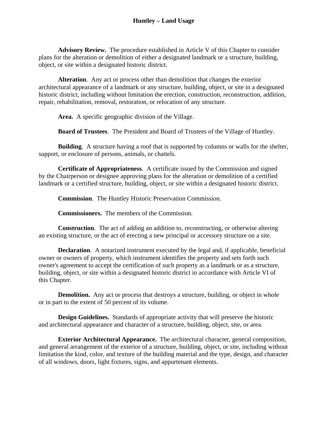**Advisory Review.** The procedure established in Article V of this Chapter to consider plans for the alteration or demolition of either a designated landmark or a structure, building, object, or site within a designated historic district.

**Alteration**. Any act or process other than demolition that changes the exterior architectural appearance of a landmark or any structure, building, object, or site in a designated historic district, including without limitation the erection, construction, reconstruction, addition, repair, rehabilitation, removal, restoration, or relocation of any structure.

**Area.** A specific geographic division of the Village.

**Board of Trustees**. The President and Board of Trustees of the Village of Huntley.

**Building**. A structure having a roof that is supported by columns or walls for the shelter, support, or enclosure of persons, animals, or chattels.

**Certificate of Appropriateness**. A certificate issued by the Commission and signed by the Chairperson or designee approving plans for the alteration or demolition of a certified landmark or a certified structure, building, object, or site within a designated historic district.

**Commission**. The Huntley Historic Preservation Commission.

**Commissioners.** The members of the Commission.

**Construction**. The act of adding an addition to, reconstructing, or otherwise altering an existing structure, or the act of erecting a new principal or accessory structure on a site.

**Declaration**. A notarized instrument executed by the legal and, if applicable, beneficial owner or owners of property, which instrument identifies the property and sets forth such owner's agreement to accept the certification of such property as a landmark or as a structure, building, object, or site within a designated historic district in accordance with Article VI of this Chapter.

**Demolition.** Any act or process that destroys a structure, building, or object in whole or in part to the extent of 50 percent of its volume.

**Design Guidelines.** Standards of appropriate activity that will preserve the historic and architectural appearance and character of a structure, building, object, site, or area.

**Exterior Architectural Appearance.** The architectural character, general composition, and general arrangement of the exterior of a structure, building, object, or site, including without limitation the kind, color, and texture of the building material and the type, design, and character of all windows, doors, light fixtures, signs, and appurtenant elements.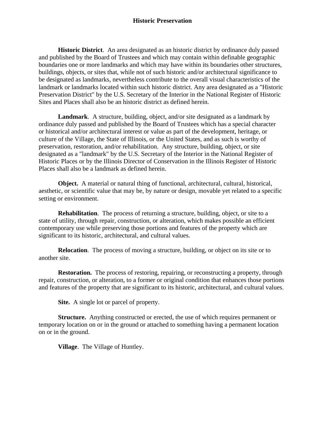**Historic District**. An area designated as an historic district by ordinance duly passed and published by the Board of Trustees and which may contain within definable geographic boundaries one or more landmarks and which may have within its boundaries other structures, buildings, objects, or sites that, while not of such historic and/or architectural significance to be designated as landmarks, nevertheless contribute to the overall visual characteristics of the landmark or landmarks located within such historic district. Any area designated as a "Historic Preservation District" by the U.S. Secretary of the Interior in the National Register of Historic Sites and Places shall also be an historic district as defined herein.

**Landmark**. A structure, building, object, and/or site designated as a landmark by ordinance duly passed and published by the Board of Trustees which has a special character or historical and/or architectural interest or value as part of the development, heritage, or culture of the Village, the State of Illinois, or the United States, and as such is worthy of preservation, restoration, and/or rehabilitation. Any structure, building, object, or site designated as a "landmark" by the U.S. Secretary of the Interior in the National Register of Historic Places or by the Illinois Director of Conservation in the Illinois Register of Historic Places shall also be a landmark as defined herein.

**Object.** A material or natural thing of functional, architectural, cultural, historical, aesthetic, or scientific value that may be, by nature or design, movable yet related to a specific setting or environment.

**Rehabilitation**. The process of returning a structure, building, object, or site to a state of utility, through repair, construction, or alteration, which makes possible an efficient contemporary use while preserving those portions and features of the property which are significant to its historic, architectural, and cultural values.

**Relocation**. The process of moving a structure, building, or object on its site or to another site.

**Restoration.** The process of restoring, repairing, or reconstructing a property, through repair, construction, or alteration, to a former or original condition that enhances those portions and features of the property that are significant to its historic, architectural, and cultural values.

**Site.** A single lot or parcel of property.

**Structure.** Anything constructed or erected, the use of which requires permanent or temporary location on or in the ground or attached to something having a permanent location on or in the ground.

 **Village**. The Village of Huntley.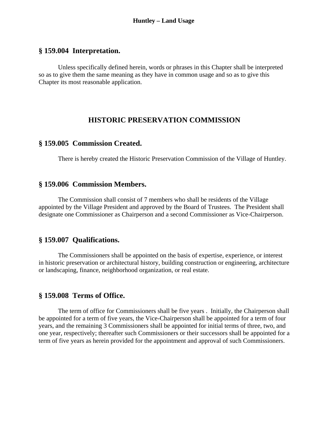# <span id="page-6-0"></span>**§ 159.004 Interpretation.**

Unless specifically defined herein, words or phrases in this Chapter shall be interpreted so as to give them the same meaning as they have in common usage and so as to give this Chapter its most reasonable application.

#### **HISTORIC PRESERVATION COMMISSION**

#### **§ 159.005 Commission Created.**

There is hereby created the Historic Preservation Commission of the Village of Huntley.

### **§ 159.006 Commission Members.**

 The Commission shall consist of 7 members who shall be residents of the Village appointed by the Village President and approved by the Board of Trustees. The President shall designate one Commissioner as Chairperson and a second Commissioner as Vice-Chairperson.

## **§ 159.007 Qualifications.**

 The Commissioners shall be appointed on the basis of expertise, experience, or interest in historic preservation or architectural history, building construction or engineering, architecture or landscaping, finance, neighborhood organization, or real estate.

#### **§ 159.008 Terms of Office.**

 The term of office for Commissioners shall be five years . Initially, the Chairperson shall be appointed for a term of five years, the Vice-Chairperson shall be appointed for a term of four years, and the remaining 3 Commissioners shall be appointed for initial terms of three, two, and one year, respectively; thereafter such Commissioners or their successors shall be appointed for a term of five years as herein provided for the appointment and approval of such Commissioners.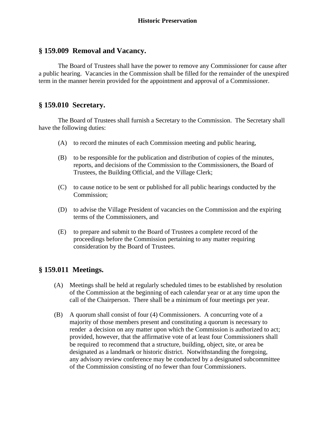# **§ 159.009 Removal and Vacancy.**

 The Board of Trustees shall have the power to remove any Commissioner for cause after a public hearing. Vacancies in the Commission shall be filled for the remainder of the unexpired term in the manner herein provided for the appointment and approval of a Commissioner.

## **§ 159.010 Secretary.**

 The Board of Trustees shall furnish a Secretary to the Commission. The Secretary shall have the following duties:

- (A) to record the minutes of each Commission meeting and public hearing,
- (B) to be responsible for the publication and distribution of copies of the minutes, reports, and decisions of the Commission to the Commissioners, the Board of Trustees, the Building Official, and the Village Clerk;
- (C) to cause notice to be sent or published for all public hearings conducted by the Commission;
- (D) to advise the Village President of vacancies on the Commission and the expiring terms of the Commissioners, and
- (E) to prepare and submit to the Board of Trustees a complete record of the proceedings before the Commission pertaining to any matter requiring consideration by the Board of Trustees.

# **§ 159.011 Meetings.**

- (A) Meetings shall be held at regularly scheduled times to be established by resolution of the Commission at the beginning of each calendar year or at any time upon the call of the Chairperson. There shall be a minimum of four meetings per year.
- (B) A quorum shall consist of four (4) Commissioners. A concurring vote of a majority of those members present and constituting a quorum is necessary to render a decision on any matter upon which the Commission is authorized to act; provided, however, that the affirmative vote of at least four Commissioners shall be required to recommend that a structure, building, object, site, or area be designated as a landmark or historic district. Notwithstanding the foregoing, any advisory review conference may be conducted by a designated subcommittee of the Commission consisting of no fewer than four Commissioners.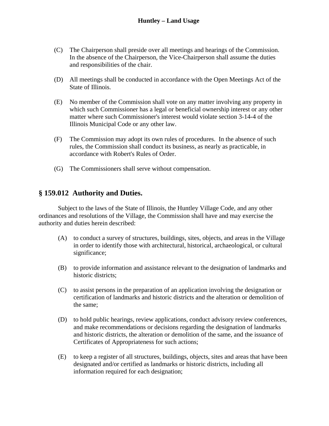- (C) The Chairperson shall preside over all meetings and hearings of the Commission. In the absence of the Chairperson, the Vice-Chairperson shall assume the duties and responsibilities of the chair.
- (D) All meetings shall be conducted in accordance with the Open Meetings Act of the State of Illinois.
- (E) No member of the Commission shall vote on any matter involving any property in which such Commissioner has a legal or beneficial ownership interest or any other matter where such Commissioner's interest would violate section 3-14-4 of the Illinois Municipal Code or any other law.
- (F) The Commission may adopt its own rules of procedures. In the absence of such rules, the Commission shall conduct its business, as nearly as practicable, in accordance with Robert's Rules of Order.
- (G) The Commissioners shall serve without compensation.

# **§ 159.012 Authority and Duties.**

 Subject to the laws of the State of Illinois, the Huntley Village Code, and any other ordinances and resolutions of the Village, the Commission shall have and may exercise the authority and duties herein described:

- (A) to conduct a survey of structures, buildings, sites, objects, and areas in the Village in order to identify those with architectural, historical, archaeological, or cultural significance;
- (B) to provide information and assistance relevant to the designation of landmarks and historic districts;
- (C) to assist persons in the preparation of an application involving the designation or certification of landmarks and historic districts and the alteration or demolition of the same;
- (D) to hold public hearings, review applications, conduct advisory review conferences, and make recommendations or decisions regarding the designation of landmarks and historic districts, the alteration or demolition of the same, and the issuance of Certificates of Appropriateness for such actions;
- (E) to keep a register of all structures, buildings, objects, sites and areas that have been designated and/or certified as landmarks or historic districts, including all information required for each designation;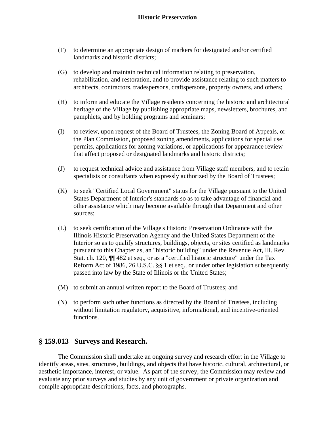- (F) to determine an appropriate design of markers for designated and/or certified landmarks and historic districts;
- (G) to develop and maintain technical information relating to preservation, rehabilitation, and restoration, and to provide assistance relating to such matters to architects, contractors, tradespersons, craftspersons, property owners, and others;
- (H) to inform and educate the Village residents concerning the historic and architectural heritage of the Village by publishing appropriate maps, newsletters, brochures, and pamphlets, and by holding programs and seminars;
- (I) to review, upon request of the Board of Trustees, the Zoning Board of Appeals, or the Plan Commission, proposed zoning amendments, applications for special use permits, applications for zoning variations, or applications for appearance review that affect proposed or designated landmarks and historic districts;
- (J) to request technical advice and assistance from Village staff members, and to retain specialists or consultants when expressly authorized by the Board of Trustees;
- (K) to seek "Certified Local Government" status for the Village pursuant to the United States Department of Interior's standards so as to take advantage of financial and other assistance which may become available through that Department and other sources;
- (L) to seek certification of the Village's Historic Preservation Ordinance with the Illinois Historic Preservation Agency and the United States Department of the Interior so as to qualify structures, buildings, objects, or sites certified as landmarks pursuant to this Chapter as, an "historic building" under the Revenue Act, Ill. Rev. Stat. ch. 120, ¶¶ 482 et seq., or as a "certified historic structure" under the Tax Reform Act of 1986, 26 U.S.C. §§ 1 et seq., or under other legislation subsequently passed into law by the State of Illinois or the United States;
- (M) to submit an annual written report to the Board of Trustees; and
- (N) to perform such other functions as directed by the Board of Trustees, including without limitation regulatory, acquisitive, informational, and incentive-oriented functions.

# **§ 159.013 Surveys and Research.**

 The Commission shall undertake an ongoing survey and research effort in the Village to identify areas, sites, structures, buildings, and objects that have historic, cultural, architectural, or aesthetic importance, interest, or value. As part of the survey, the Commission may review and evaluate any prior surveys and studies by any unit of government or private organization and compile appropriate descriptions, facts, and photographs.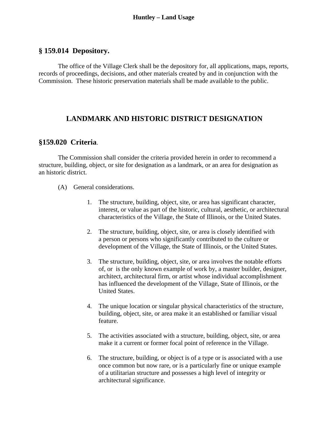# <span id="page-10-0"></span>**§ 159.014 Depository.**

 The office of the Village Clerk shall be the depository for, all applications, maps, reports, records of proceedings, decisions, and other materials created by and in conjunction with the Commission. These historic preservation materials shall be made available to the public.

# **LANDMARK AND HISTORIC DISTRICT DESIGNATION**

#### **§159.020 Criteria**.

 The Commission shall consider the criteria provided herein in order to recommend a structure, building, object, or site for designation as a landmark, or an area for designation as an historic district.

- (A) General considerations.
	- 1. The structure, building, object, site, or area has significant character, interest, or value as part of the historic, cultural, aesthetic, or architectural characteristics of the Village, the State of Illinois, or the United States.
	- 2. The structure, building, object, site, or area is closely identified with a person or persons who significantly contributed to the culture or development of the Village, the State of Illinois, or the United States.
	- 3. The structure, building, object, site, or area involves the notable efforts of, or is the only known example of work by, a master builder, designer, architect, architectural firm, or artist whose individual accomplishment has influenced the development of the Village, State of Illinois, or the United States.
	- 4. The unique location or singular physical characteristics of the structure, building, object, site, or area make it an established or familiar visual feature.
	- 5. The activities associated with a structure, building, object, site, or area make it a current or former focal point of reference in the Village.
	- 6. The structure, building, or object is of a type or is associated with a use once common but now rare, or is a particularly fine or unique example of a utilitarian structure and possesses a high level of integrity or architectural significance.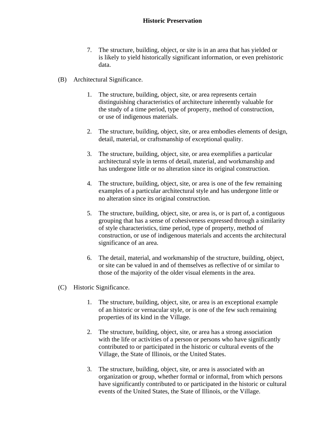- 7. The structure, building, object, or site is in an area that has yielded or is likely to yield historically significant information, or even prehistoric data.
- (B) Architectural Significance.
	- 1. The structure, building, object, site, or area represents certain distinguishing characteristics of architecture inherently valuable for the study of a time period, type of property, method of construction, or use of indigenous materials.
	- 2. The structure, building, object, site, or area embodies elements of design, detail, material, or craftsmanship of exceptional quality.
	- 3. The structure, building, object, site, or area exemplifies a particular architectural style in terms of detail, material, and workmanship and has undergone little or no alteration since its original construction.
	- 4. The structure, building, object, site, or area is one of the few remaining examples of a particular architectural style and has undergone little or no alteration since its original construction.
	- 5. The structure, building, object, site, or area is, or is part of, a contiguous grouping that has a sense of cohesiveness expressed through a similarity of style characteristics, time period, type of property, method of construction, or use of indigenous materials and accents the architectural significance of an area.
	- 6. The detail, material, and workmanship of the structure, building, object, or site can be valued in and of themselves as reflective of or similar to those of the majority of the older visual elements in the area.
- (C) Historic Significance.
	- 1. The structure, building, object, site, or area is an exceptional example of an historic or vernacular style, or is one of the few such remaining properties of its kind in the Village.
	- 2. The structure, building, object, site, or area has a strong association with the life or activities of a person or persons who have significantly contributed to or participated in the historic or cultural events of the Village, the State of Illinois, or the United States.
	- 3. The structure, building, object, site, or area is associated with an organization or group, whether formal or informal, from which persons have significantly contributed to or participated in the historic or cultural events of the United States, the State of Illinois, or the Village.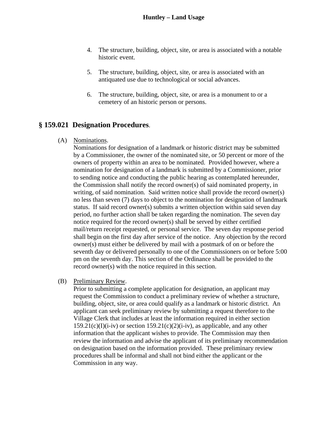- 4. The structure, building, object, site, or area is associated with a notable historic event.
- 5. The structure, building, object, site, or area is associated with an antiquated use due to technological or social advances.
- 6. The structure, building, object, site, or area is a monument to or a cemetery of an historic person or persons.

# **§ 159.021 Designation Procedures**.

(A) Nominations.

Nominations for designation of a landmark or historic district may be submitted by a Commissioner, the owner of the nominated site, or 50 percent or more of the owners of property within an area to be nominated. Provided however, where a nomination for designation of a landmark is submitted by a Commissioner, prior to sending notice and conducting the public hearing as contemplated hereunder, the Commission shall notify the record owner(s) of said nominated property, in writing, of said nomination. Said written notice shall provide the record owner(s) no less than seven (7) days to object to the nomination for designation of landmark status. If said record owner(s) submits a written objection within said seven day period, no further action shall be taken regarding the nomination. The seven day notice required for the record owner(s) shall be served by either certified mail/return receipt requested, or personal service. The seven day response period shall begin on the first day after service of the notice. Any objection by the record owner(s) must either be delivered by mail with a postmark of on or before the seventh day or delivered personally to one of the Commissioners on or before 5:00 pm on the seventh day. This section of the Ordinance shall be provided to the record owner(s) with the notice required in this section.

(B) Preliminary Review.

Prior to submitting a complete application for designation, an applicant may request the Commission to conduct a preliminary review of whether a structure, building, object, site, or area could qualify as a landmark or historic district. An applicant can seek preliminary review by submitting a request therefore to the Village Clerk that includes at least the information required in either section  $159.21(c)(I)(i-iv)$  or section  $159.21(c)(2)(i-iv)$ , as applicable, and any other information that the applicant wishes to provide. The Commission may then review the information and advise the applicant of its preliminary recommendation on designation based on the information provided. These preliminary review procedures shall be informal and shall not bind either the applicant or the Commission in any way.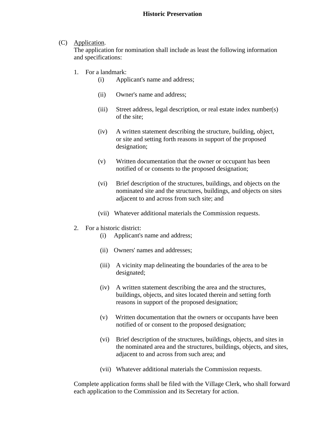#### (C) Application.

The application for nomination shall include as least the following information and specifications:

- 1. For a landmark:
	- (i) Applicant's name and address;
	- (ii) Owner's name and address;
	- (iii) Street address, legal description, or real estate index number(s) of the site;
	- (iv) A written statement describing the structure, building, object, or site and setting forth reasons in support of the proposed designation;
	- (v) Written documentation that the owner or occupant has been notified of or consents to the proposed designation;
	- (vi) Brief description of the structures, buildings, and objects on the nominated site and the structures, buildings, and objects on sites adjacent to and across from such site; and
	- (vii) Whatever additional materials the Commission requests.
- 2. For a historic district:
	- (i) Applicant's name and address;
	- (ii) Owners' names and addresses;
	- (iii) A vicinity map delineating the boundaries of the area to be designated;
	- (iv) A written statement describing the area and the structures, buildings, objects, and sites located therein and setting forth reasons in support of the proposed designation;
	- (v) Written documentation that the owners or occupants have been notified of or consent to the proposed designation;
	- (vi) Brief description of the structures, buildings, objects, and sites in the nominated area and the structures, buildings, objects, and sites, adjacent to and across from such area; and
	- (vii) Whatever additional materials the Commission requests.

Complete application forms shall be filed with the Village Clerk, who shall forward each application to the Commission and its Secretary for action.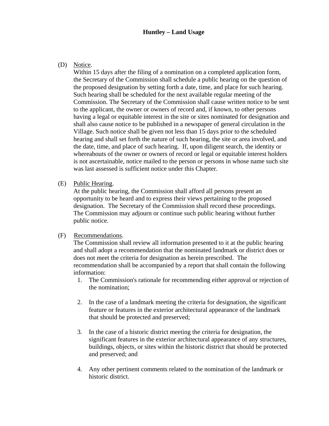#### **Huntley – Land Usage**

(D) Notice.

Within 15 days after the filing of a nomination on a completed application form, the Secretary of the Commission shall schedule a public hearing on the question of the proposed designation by setting forth a date, time, and place for such hearing. Such hearing shall be scheduled for the next available regular meeting of the Commission. The Secretary of the Commission shall cause written notice to be sent to the applicant, the owner or owners of record and, if known, to other persons having a legal or equitable interest in the site or sites nominated for designation and shall also cause notice to be published in a newspaper of general circulation in the Village. Such notice shall be given not less than 15 days prior to the scheduled hearing and shall set forth the nature of such hearing, the site or area involved, and the date, time, and place of such hearing. If, upon diligent search, the identity or whereabouts of the owner or owners of record or legal or equitable interest holders is not ascertainable, notice mailed to the person or persons in whose name such site was last assessed is sufficient notice under this Chapter.

(E) Public Hearing.

At the public hearing, the Commission shall afford all persons present an opportunity to be heard and to express their views pertaining to the proposed designation. The Secretary of the Commission shall record these proceedings. The Commission may adjourn or continue such public hearing without further public notice.

#### (F) Recommendations.

The Commission shall review all information presented to it at the public hearing and shall adopt a recommendation that the nominated landmark or district does or does not meet the criteria for designation as herein prescribed. The recommendation shall be accompanied by a report that shall contain the following information:

- 1. The Commission's rationale for recommending either approval or rejection of the nomination;
- 2. In the case of a landmark meeting the criteria for designation, the significant feature or features in the exterior architectural appearance of the landmark that should be protected and preserved;
- 3. In the case of a historic district meeting the criteria for designation, the significant features in the exterior architectural appearance of any structures, buildings, objects, or sites within the historic district that should be protected and preserved; and
- 4. Any other pertinent comments related to the nomination of the landmark or historic district.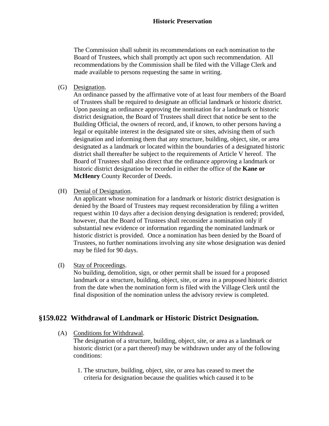The Commission shall submit its recommendations on each nomination to the Board of Trustees, which shall promptly act upon such recommendation. All recommendations by the Commission shall be filed with the Village Clerk and made available to persons requesting the same in writing.

(G) Designation.

An ordinance passed by the affirmative vote of at least four members of the Board of Trustees shall be required to designate an official landmark or historic district. Upon passing an ordinance approving the nomination for a landmark or historic district designation, the Board of Trustees shall direct that notice be sent to the Building Official, the owners of record, and, if known, to other persons having a legal or equitable interest in the designated site or sites, advising them of such designation and informing them that any structure, building, object, site, or area designated as a landmark or located within the boundaries of a designated historic district shall thereafter be subject to the requirements of Article V hereof. The Board of Trustees shall also direct that the ordinance approving a landmark or historic district designation be recorded in either the office of the **Kane or McHenry** County Recorder of Deeds.

(H) Denial of Designation.

An applicant whose nomination for a landmark or historic district designation is denied by the Board of Trustees may request reconsideration by filing a written request within 10 days after a decision denying designation is rendered; provided, however, that the Board of Trustees shall reconsider a nomination only if substantial new evidence or information regarding the nominated landmark or historic district is provided. Once a nomination has been denied by the Board of Trustees, no further nominations involving any site whose designation was denied may be filed for 90 days.

(I) Stay of Proceedings.

No building, demolition, sign, or other permit shall be issued for a proposed landmark or a structure, building, object, site, or area in a proposed historic district from the date when the nomination form is filed with the Village Clerk until the final disposition of the nomination unless the advisory review is completed.

# **§159.022 Withdrawal of Landmark or Historic District Designation.**

(A) Conditions for Withdrawal.

The designation of a structure, building, object, site, or area as a landmark or historic district (or a part thereof) may be withdrawn under any of the following conditions:

 1. The structure, building, object, site, or area has ceased to meet the criteria for designation because the qualities which caused it to be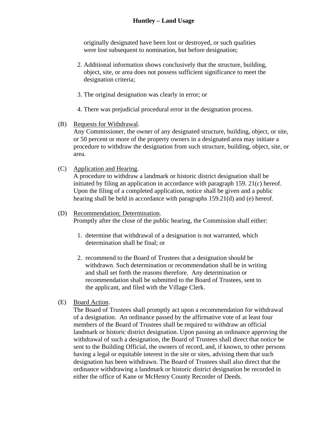originally designated have been lost or destroyed, or such qualities were lost subsequent to nomination, but before designation;

- 2. Additional information shows conclusively that the structure, building, object, site, or area does not possess sufficient significance to meet the designation criteria;
- 3. The original designation was clearly in error; or
- 4. There was prejudicial procedural error in the designation process.
- (B) Requests for Withdrawal.

Any Commissioner, the owner of any designated structure, building, object, or site, or 50 percent or more of the property owners in a designated area may initiate a procedure to withdraw the designation from such structure, building, object, site, or area.

(C) Application and Hearing.

A procedure to withdraw a landmark or historic district designation shall be initiated by filing an application in accordance with paragraph 159. 21(c) hereof. Upon the filing of a completed application, notice shall be given and a public hearing shall be held in accordance with paragraphs 159.21(d) and (e) hereof.

#### (D) Recommendation; Determination.

Promptly after the close of the public hearing, the Commission shall either:

- 1. determine that withdrawal of a designation is not warranted, which determination shall be final; or
- 2. recommend to the Board of Trustees that a designation should be withdrawn. Such determination or recommendation shall be in writing and shall set forth the reasons therefore. Any determination or recommendation shall be submitted to the Board of Trustees, sent to the applicant, and filed with the Village Clerk.
- (E) Board Action.

The Board of Trustees shall promptly act upon a recommendation for withdrawal of a designation. An ordinance passed by the affirmative vote of at least four members of the Board of Trustees shall be required to withdraw an official landmark or historic district designation. Upon passing an ordinance approving the withdrawal of such a designation, the Board of Trustees shall direct that notice be sent to the Building Official, the owners of record, and, if known, to other persons having a legal or equitable interest in the site or sites, advising them that such designation has been withdrawn. The Board of Trustees shall also direct that the ordinance withdrawing a landmark or historic district designation be recorded in either the office of Kane or McHenry County Recorder of Deeds.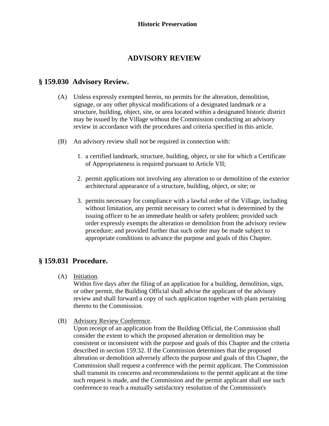# **ADVISORY REVIEW**

# <span id="page-17-0"></span>**§ 159.030 Advisory Review.**

- (A) Unless expressly exempted herein, no permits for the alteration, demolition, signage, or any other physical modifications of a designated landmark or a structure, building, object, site, or area located within a designated historic district may be issued by the Village without the Commission conducting an advisory review in accordance with the procedures and criteria specified in this article.
- (B) An advisory review shall not be required in connection with:
	- 1. a certified landmark, structure, building, object, or site for which a Certificate of Appropriateness is required pursuant to Article VII;
	- 2. permit applications not involving any alteration to or demolition of the exterior architectural appearance of a structure, building, object, or site; or
	- 3. permits necessary for compliance with a lawful order of the Village, including without limitation, any permit necessary to correct what is determined by the issuing officer to be an immediate health or safety problem; provided such order expressly exempts the alteration or demolition from the advisory review procedure; and provided further that such order may be made subject to appropriate conditions to advance the purpose and goals of this Chapter.

# **§ 159.031 Procedure.**

(A) Initiation.

Within five days after the filing of an application for a building, demolition, sign, or other permit, the Building Official shall advise the applicant of the advisory review and shall forward a copy of such application together with plans pertaining thereto to the Commission.

(B) Advisory Review Conference.

Upon receipt of an application from the Building Official, the Commission shall consider the extent to which the proposed alteration or demolition may be consistent or inconsistent with the purpose and goals of this Chapter and the criteria described in section 159.32. If the Commission determines that the proposed alteration or demolition adversely affects the purpose and goals of this Chapter, the Commission shall request a conference with the permit applicant. The Commission shall transmit its concerns and recommendations to the permit applicant at the time such request is made, and the Commission and the permit applicant shall use such conference to reach a mutually satisfactory resolution of the Commission's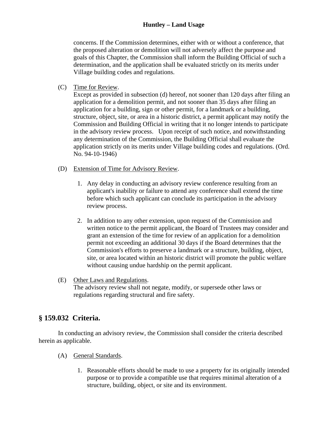## **Huntley – Land Usage**

concerns. If the Commission determines, either with or without a conference, that the proposed alteration or demolition will not adversely affect the purpose and goals of this Chapter, the Commission shall inform the Building Official of such a determination, and the application shall be evaluated strictly on its merits under Village building codes and regulations.

(C) Time for Review.

Except as provided in subsection (d) hereof, not sooner than 120 days after filing an application for a demolition permit, and not sooner than 35 days after filing an application for a building, sign or other permit, for a landmark or a building, structure, object, site, or area in a historic district, a permit applicant may notify the Commission and Building Official in writing that it no longer intends to participate in the advisory review process. Upon receipt of such notice, and notwithstanding any determination of the Commission, the Building Official shall evaluate the application strictly on its merits under Village building codes and regulations. (Ord. No. 94-10-1946)

- (D) Extension of Time for Advisory Review.
	- 1. Any delay in conducting an advisory review conference resulting from an applicant's inability or failure to attend any conference shall extend the time before which such applicant can conclude its participation in the advisory review process.
	- 2. In addition to any other extension, upon request of the Commission and written notice to the permit applicant, the Board of Trustees may consider and grant an extension of the time for review of an application for a demolition permit not exceeding an additional 30 days if the Board determines that the Commission's efforts to preserve a landmark or a structure, building, object, site, or area located within an historic district will promote the public welfare without causing undue hardship on the permit applicant.
- (E) Other Laws and Regulations.

The advisory review shall not negate, modify, or supersede other laws or regulations regarding structural and fire safety.

# **§ 159.032 Criteria.**

 In conducting an advisory review, the Commission shall consider the criteria described herein as applicable.

- (A) General Standards.
	- 1. Reasonable efforts should be made to use a property for its originally intended purpose or to provide a compatible use that requires minimal alteration of a structure, building, object, or site and its environment.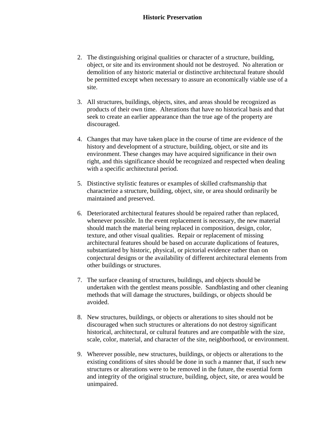- 2. The distinguishing original qualities or character of a structure, building, object, or site and its environment should not be destroyed. No alteration or demolition of any historic material or distinctive architectural feature should be permitted except when necessary to assure an economically viable use of a site.
- 3. All structures, buildings, objects, sites, and areas should be recognized as products of their own time. Alterations that have no historical basis and that seek to create an earlier appearance than the true age of the property are discouraged.
- 4. Changes that may have taken place in the course of time are evidence of the history and development of a structure, building, object, or site and its environment. These changes may have acquired significance in their own right, and this significance should be recognized and respected when dealing with a specific architectural period.
- 5. Distinctive stylistic features or examples of skilled craftsmanship that characterize a structure, building, object, site, or area should ordinarily be maintained and preserved.
- 6. Deteriorated architectural features should be repaired rather than replaced, whenever possible. In the event replacement is necessary, the new material should match the material being replaced in composition, design, color, texture, and other visual qualities. Repair or replacement of missing architectural features should be based on accurate duplications of features, substantiated by historic, physical, or pictorial evidence rather than on conjectural designs or the availability of different architectural elements from other buildings or structures.
- 7. The surface cleaning of structures, buildings, and objects should be undertaken with the gentlest means possible. Sandblasting and other cleaning methods that will damage the structures, buildings, or objects should be avoided.
- 8. New structures, buildings, or objects or alterations to sites should not be discouraged when such structures or alterations do not destroy significant historical, architectural, or cultural features and are compatible with the size, scale, color, material, and character of the site, neighborhood, or environment.
- 9. Wherever possible, new structures, buildings, or objects or alterations to the existing conditions of sites should be done in such a manner that, if such new structures or alterations were to be removed in the future, the essential form and integrity of the original structure, building, object, site, or area would be unimpaired.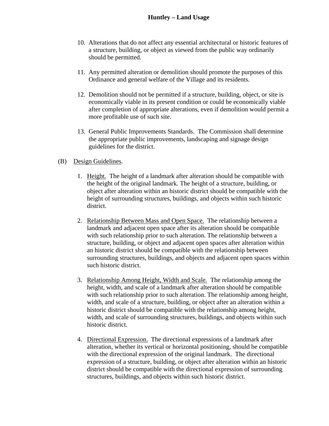- 10. Alterations that do not affect any essential architectural or historic features of a structure, building, or object as viewed from the public way ordinarily should be permitted.
- 11. Any permitted alteration or demolition should promote the purposes of this Ordinance and general welfare of the Village and its residents.
- 12. Demolition should not be permitted if a structure, building, object, or site is economically viable in its present condition or could be economically viable after completion of appropriate alterations, even if demolition would permit a more profitable use of such site.
- 13. General Public Improvements Standards. The Commission shall determine the appropriate public improvements, landscaping and signage design guidelines for the district.

#### (B) Design Guidelines.

- 1. Height. The height of a landmark after alteration should be compatible with the height of the original landmark. The height of a structure, building, or object after alteration within an historic district should be compatible with the height of surrounding structures, buildings, and objects within such historic district.
- 2. Relationship Between Mass and Open Space. The relationship between a landmark and adjacent open space after its alteration should be compatible with such relationship prior to such alteration. The relationship between a structure, building, or object and adjacent open spaces after alteration within an historic district should be compatible with the relationship between surrounding structures, buildings, and objects and adjacent open spaces within such historic district.
- 3. Relationship Among Height, Width and Scale. The relationship among the height, width, and scale of a landmark after alteration should be compatible with such relationship prior to such alteration. The relationship among height, width, and scale of a structure, building, or object after an alteration within a historic district should be compatible with the relationship among height, width, and scale of surrounding structures, buildings, and objects within such historic district.
- 4. Directional Expression. The directional expressions of a landmark after alteration, whether its vertical or horizontal positioning, should be compatible with the directional expression of the original landmark. The directional expression of a structure, building, or object after alteration within an historic district should be compatible with the directional expression of surrounding structures, buildings, and objects within such historic district.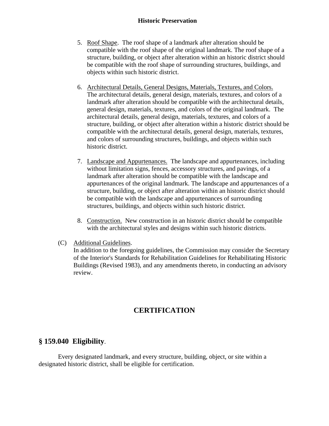- <span id="page-21-0"></span> 5. Roof Shape. The roof shape of a landmark after alteration should be compatible with the roof shape of the original landmark. The roof shape of a structure, building, or object after alteration within an historic district should be compatible with the roof shape of surrounding structures, buildings, and objects within such historic district.
- 6. Architectural Details, General Designs, Materials, Textures, and Colors. The architectural details, general design, materials, textures, and colors of a landmark after alteration should be compatible with the architectural details, general design, materials, textures, and colors of the original landmark. The architectural details, general design, materials, textures, and colors of a structure, building, or object after alteration within a historic district should be compatible with the architectural details, general design, materials, textures, and colors of surrounding structures, buildings, and objects within such historic district.
- 7. Landscape and Appurtenances. The landscape and appurtenances, including without limitation signs, fences, accessory structures, and pavings, of a landmark after alteration should be compatible with the landscape and appurtenances of the original landmark. The landscape and appurtenances of a structure, building, or object after alteration within an historic district should be compatible with the landscape and appurtenances of surrounding structures, buildings, and objects within such historic district.
- 8. Construction. New construction in an historic district should be compatible with the architectural styles and designs within such historic districts.
- (C) Additional Guidelines.

In addition to the foregoing guidelines, the Commission may consider the Secretary of the Interior's Standards for Rehabilitation Guidelines for Rehabilitating Historic Buildings (Revised 1983), and any amendments thereto, in conducting an advisory review.

# **CERTIFICATION**

# **§ 159.040 Eligibility**.

 Every designated landmark, and every structure, building, object, or site within a designated historic district, shall be eligible for certification.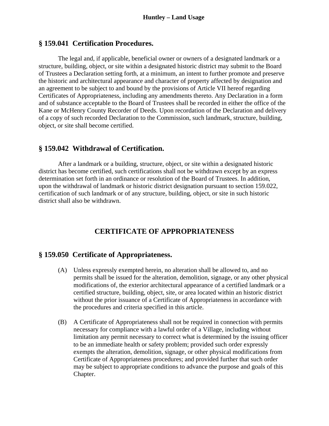#### <span id="page-22-0"></span>**§ 159.041 Certification Procedures.**

 The legal and, if applicable, beneficial owner or owners of a designated landmark or a structure, building, object, or site within a designated historic district may submit to the Board of Trustees a Declaration setting forth, at a minimum, an intent to further promote and preserve the historic and architectural appearance and character of property affected by designation and an agreement to be subject to and bound by the provisions of Article VII hereof regarding Certificates of Appropriateness, including any amendments thereto. Any Declaration in a form and of substance acceptable to the Board of Trustees shall be recorded in either the office of the Kane or McHenry County Recorder of Deeds. Upon recordation of the Declaration and delivery of a copy of such recorded Declaration to the Commission, such landmark, structure, building, object, or site shall become certified.

#### **§ 159.042 Withdrawal of Certification.**

 After a landmark or a building, structure, object, or site within a designated historic district has become certified, such certifications shall not be withdrawn except by an express determination set forth in an ordinance or resolution of the Board of Trustees. In addition, upon the withdrawal of landmark or historic district designation pursuant to section 159.022, certification of such landmark or of any structure, building, object, or site in such historic district shall also be withdrawn.

# **CERTIFICATE OF APPROPRIATENESS**

## **§ 159.050 Certificate of Appropriateness.**

- (A) Unless expressly exempted herein, no alteration shall be allowed to, and no permits shall be issued for the alteration, demolition, signage, or any other physical modifications of, the exterior architectural appearance of a certified landmark or a certified structure, building, object, site, or area located within an historic district without the prior issuance of a Certificate of Appropriateness in accordance with the procedures and criteria specified in this article.
- (B) A Certificate of Appropriateness shall not be required in connection with permits necessary for compliance with a lawful order of a Village, including without limitation any permit necessary to correct what is determined by the issuing officer to be an immediate health or safety problem; provided such order expressly exempts the alteration, demolition, signage, or other physical modifications from Certificate of Appropriateness procedures; and provided further that such order may be subject to appropriate conditions to advance the purpose and goals of this Chapter.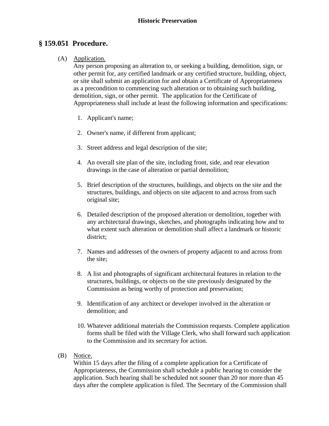# **§ 159.051 Procedure.**

#### (A) Application.

Any person proposing an alteration to, or seeking a building, demolition, sign, or other permit for, any certified landmark or any certified structure, building, object, or site shall submit an application for and obtain a Certificate of Appropriateness as a precondition to commencing such alteration or to obtaining such building, demolition, sign, or other permit. The application for the Certificate of Appropriateness shall include at least the following information and specifications:

- 1. Applicant's name;
- 2. Owner's name, if different from applicant;
- 3. Street address and legal description of the site;
- 4. An overall site plan of the site, including front, side, and rear elevation drawings in the case of alteration or partial demolition;
- 5. Brief description of the structures, buildings, and objects on the site and the structures, buildings, and objects on site adjacent to and across from such original site;
- 6. Detailed description of the proposed alteration or demolition, together with any architectural drawings, sketches, and photographs indicating how and to what extent such alteration or demolition shall affect a landmark or historic district;
- 7. Names and addresses of the owners of property adjacent to and across from the site;
- 8. A list and photographs of significant architectural features in relation to the structures, buildings, or objects on the site previously designated by the Commission as being worthy of protection and preservation;
- 9. Identification of any architect or developer involved in the alteration or demolition; and
- 10. Whatever additional materials the Commission requests. Complete application forms shall be filed with the Village Clerk, who shall forward such application to the Commission and its secretary for action.
- (B) Notice.

Within 15 days after the filing of a complete application for a Certificate of Appropriateness, the Commission shall schedule a public hearing to consider the application. Such hearing shall be scheduled not sooner than 20 nor more than 45 days after the complete application is filed. The Secretary of the Commission shall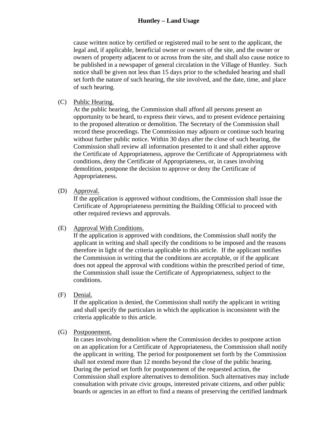# **Huntley – Land Usage**

cause written notice by certified or registered mail to be sent to the applicant, the legal and, if applicable, beneficial owner or owners of the site, and the owner or owners of property adjacent to or across from the site, and shall also cause notice to be published in a newspaper of general circulation in the Village of Huntley. Such notice shall be given not less than 15 days prior to the scheduled hearing and shall set forth the nature of such hearing, the site involved, and the date, time, and place of such hearing.

#### (C) Public Hearing.

At the public hearing, the Commission shall afford all persons present an opportunity to be heard, to express their views, and to present evidence pertaining to the proposed alteration or demolition. The Secretary of the Commission shall record these proceedings. The Commission may adjourn or continue such hearing without further public notice. Within 30 days after the close of such hearing, the Commission shall review all information presented to it and shall either approve the Certificate of Appropriateness, approve the Certificate of Appropriateness with conditions, deny the Certificate of Appropriateness, or, in cases involving demolition, postpone the decision to approve or deny the Certificate of Appropriateness.

(D) Approval.

If the application is approved without conditions, the Commission shall issue the Certificate of Appropriateness permitting the Building Official to proceed with other required reviews and approvals.

(E) Approval With Conditions.

If the application is approved with conditions, the Commission shall notify the applicant in writing and shall specify the conditions to be imposed and the reasons therefore in light of the criteria applicable to this article. If the applicant notifies the Commission in writing that the conditions are acceptable, or if the applicant does not appeal the approval with conditions within the prescribed period of time, the Commission shall issue the Certificate of Appropriateness, subject to the conditions.

(F) Denial.

If the application is denied, the Commission shall notify the applicant in writing and shall specify the particulars in which the application is inconsistent with the criteria applicable to this article.

(G) Postponement.

In cases involving demolition where the Commission decides to postpone action on an application for a Certificate of Appropriateness, the Commission shall notify the applicant in writing. The period for postponement set forth by the Commission shall not extend more than 12 months beyond the close of the public hearing. During the period set forth for postponement of the requested action, the Commission shall explore alternatives to demolition. Such alternatives may include consultation with private civic groups, interested private citizens, and other public boards or agencies in an effort to find a means of preserving the certified landmark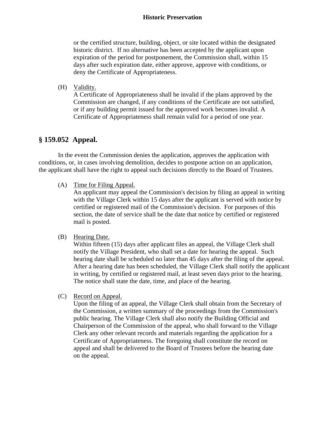or the certified structure, building, object, or site located within the designated historic district. If no alternative has been accepted by the applicant upon expiration of the period for postponement, the Commission shall, within 15 days after such expiration date, either approve, approve with conditions, or deny the Certificate of Appropriateness.

(H) Validity.

A Certificate of Appropriateness shall be invalid if the plans approved by the Commission are changed, if any conditions of the Certificate are not satisfied, or if any building permit issued for the approved work becomes invalid. A Certificate of Appropriateness shall remain valid for a period of one year.

# **§ 159.052 Appeal.**

 In the event the Commission denies the application, approves the application with conditions, or, in cases involving demolition, decides to postpone action on an application, the applicant shall have the right to appeal such decisions directly to the Board of Trustees.

(A) Time for Filing Appeal.

An applicant may appeal the Commission's decision by filing an appeal in writing with the Village Clerk within 15 days after the applicant is served with notice by certified or registered mail of the Commission's decision. For purposes of this section, the date of service shall be the date that notice by certified or registered mail is posted.

(B) Hearing Date.

Within fifteen (15) days after applicant files an appeal, the Village Clerk shall notify the Village President, who shall set a date for hearing the appeal. Such hearing date shall be scheduled no later than 45 days after the filing of the appeal. After a hearing date has been scheduled, the Village Clerk shall notify the applicant in writing, by certified or registered mail, at least seven days prior to the hearing. The notice shall state the date, time, and place of the hearing.

(C) Record on Appeal.

Upon the filing of an appeal, the Village Clerk shall obtain from the Secretary of the Commission, a written summary of the proceedings from the Commission's public hearing. The Village Clerk shall also notify the Building Official and Chairperson of the Commission of the appeal, who shall forward to the Village Clerk any other relevant records and materials regarding the application for a Certificate of Appropriateness. The foregoing shall constitute the record on appeal and shall be delivered to the Board of Trustees before the hearing date on the appeal.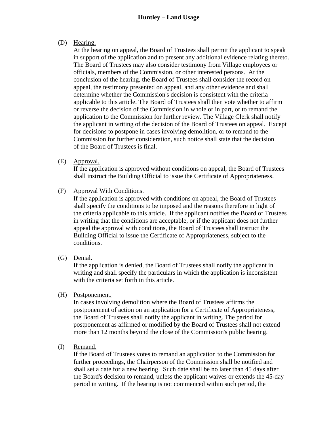#### **Huntley – Land Usage**

#### (D) Hearing.

At the hearing on appeal, the Board of Trustees shall permit the applicant to speak in support of the application and to present any additional evidence relating thereto. The Board of Trustees may also consider testimony from Village employees or officials, members of the Commission, or other interested persons. At the conclusion of the hearing, the Board of Trustees shall consider the record on appeal, the testimony presented on appeal, and any other evidence and shall determine whether the Commission's decision is consistent with the criteria applicable to this article. The Board of Trustees shall then vote whether to affirm or reverse the decision of the Commission in whole or in part, or to remand the application to the Commission for further review. The Village Clerk shall notify the applicant in writing of the decision of the Board of Trustees on appeal. Except for decisions to postpone in cases involving demolition, or to remand to the Commission for further consideration, such notice shall state that the decision of the Board of Trustees is final.

(E) Approval.

If the application is approved without conditions on appeal, the Board of Trustees shall instruct the Building Official to issue the Certificate of Appropriateness.

(F) Approval With Conditions.

If the application is approved with conditions on appeal, the Board of Trustees shall specify the conditions to be imposed and the reasons therefore in light of the criteria applicable to this article. If the applicant notifies the Board of Trustees in writing that the conditions are acceptable, or if the applicant does not further appeal the approval with conditions, the Board of Trustees shall instruct the Building Official to issue the Certificate of Appropriateness, subject to the conditions.

(G) Denial.

If the application is denied, the Board of Trustees shall notify the applicant in writing and shall specify the particulars in which the application is inconsistent with the criteria set forth in this article.

(H) Postponement.

In cases involving demolition where the Board of Trustees affirms the postponement of action on an application for a Certificate of Appropriateness, the Board of Trustees shall notify the applicant in writing. The period for postponement as affirmed or modified by the Board of Trustees shall not extend more than 12 months beyond the close of the Commission's public hearing.

(I) Remand.

If the Board of Trustees votes to remand an application to the Commission for further proceedings, the Chairperson of the Commission shall be notified and shall set a date for a new hearing. Such date shall be no later than 45 days after the Board's decision to remand, unless the applicant waives or extends the 45-day period in writing. If the hearing is not commenced within such period, the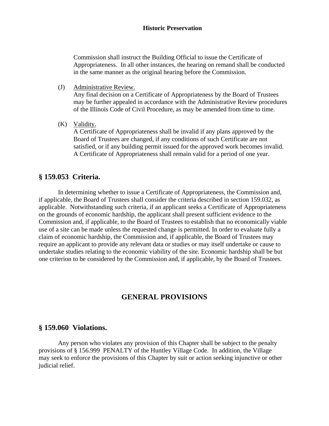<span id="page-27-0"></span>Commission shall instruct the Building Official to issue the Certificate of Appropriateness. In all other instances, the hearing on remand shall be conducted in the same manner as the original hearing before the Commission.

- (J) Administrative Review. Any final decision on a Certificate of Appropriateness by the Board of Trustees may be further appealed in accordance with the Administrative Review procedures of the Illinois Code of Civil Procedure, as may be amended from time to time.
- (K) Validity.

A Certificate of Appropriateness shall be invalid if any plans approved by the Board of Trustees are changed, if any conditions of such Certificate are not satisfied, or if any building permit issued for the approved work becomes invalid. A Certificate of Appropriateness shall remain valid for a period of one year.

## **§ 159.053 Criteria.**

 In determining whether to issue a Certificate of Appropriateness, the Commission and, if applicable, the Board of Trustees shall consider the criteria described in section 159.032, as applicable. Notwithstanding such criteria, if an applicant seeks a Certificate of Appropriateness on the grounds of economic hardship, the applicant shall present sufficient evidence to the Commission and, if applicable, to the Board of Trustees to establish that no economically viable use of a site can be made unless the requested change is permitted. In order to evaluate fully a claim of economic hardship, the Commission and, if applicable, the Board of Trustees may require an applicant to provide any relevant data or studies or may itself undertake or cause to undertake studies relating to the economic viability of the site. Economic hardship shall be but one criterion to be considered by the Commission and, if applicable, by the Board of Trustees.

# **GENERAL PROVISIONS**

#### **§ 159.060 Violations.**

 Any person who violates any provision of this Chapter shall be subject to the penalty provisions of § 156.999 PENALTY of the Huntley Village Code. In addition, the Village may seek to enforce the provisions of this Chapter by suit or action seeking injunctive or other judicial relief.